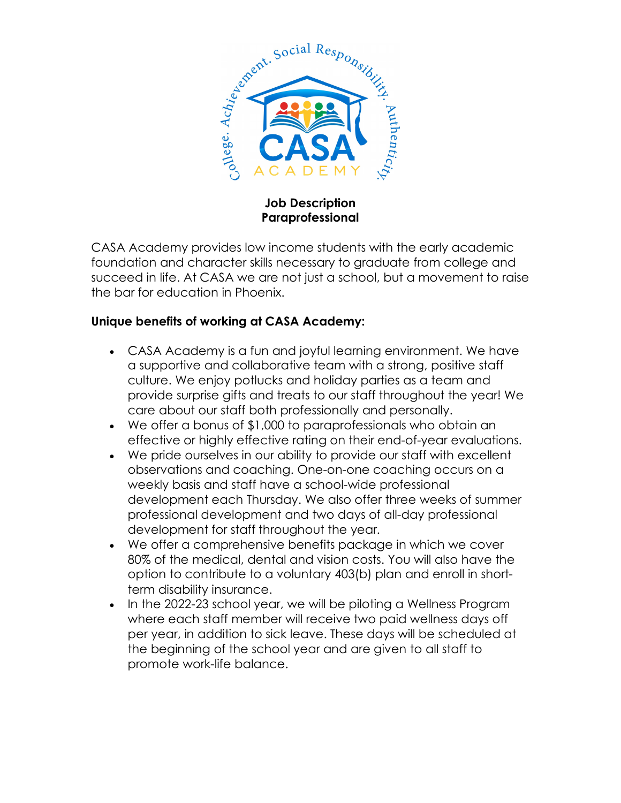

**Job Description Paraprofessional**

CASA Academy provides low income students with the early academic foundation and character skills necessary to graduate from college and succeed in life. At CASA we are not just a school, but a movement to raise the bar for education in Phoenix.

## **Unique benefits of working at CASA Academy:**

- CASA Academy is a fun and joyful learning environment. We have a supportive and collaborative team with a strong, positive staff culture. We enjoy potlucks and holiday parties as a team and provide surprise gifts and treats to our staff throughout the year! We care about our staff both professionally and personally.
- We offer a bonus of \$1,000 to paraprofessionals who obtain an effective or highly effective rating on their end-of-year evaluations.
- We pride ourselves in our ability to provide our staff with excellent observations and coaching. One-on-one coaching occurs on a weekly basis and staff have a school-wide professional development each Thursday. We also offer three weeks of summer professional development and two days of all-day professional development for staff throughout the year.
- We offer a comprehensive benefits package in which we cover 80% of the medical, dental and vision costs. You will also have the option to contribute to a voluntary 403(b) plan and enroll in shortterm disability insurance.
- In the 2022-23 school year, we will be piloting a Wellness Program where each staff member will receive two paid wellness days off per year, in addition to sick leave. These days will be scheduled at the beginning of the school year and are given to all staff to promote work-life balance.